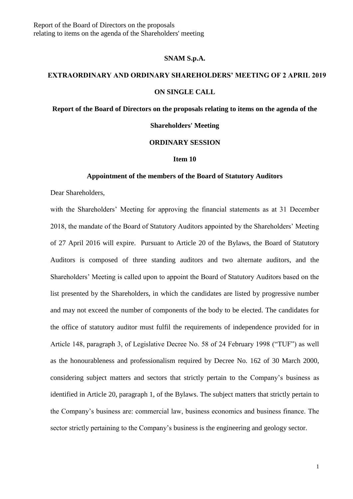### **SNAM S.p.A.**

# **EXTRAORDINARY AND ORDINARY SHAREHOLDERS' MEETING OF 2 APRIL 2019 ON SINGLE CALL**

**Report of the Board of Directors on the proposals relating to items on the agenda of the** 

## **Shareholders' Meeting**

## **ORDINARY SESSION**

#### **Item 10**

#### **Appointment of the members of the Board of Statutory Auditors**

Dear Shareholders,

with the Shareholders' Meeting for approving the financial statements as at 31 December 2018, the mandate of the Board of Statutory Auditors appointed by the Shareholders' Meeting of 27 April 2016 will expire. Pursuant to Article 20 of the Bylaws, the Board of Statutory Auditors is composed of three standing auditors and two alternate auditors, and the Shareholders' Meeting is called upon to appoint the Board of Statutory Auditors based on the list presented by the Shareholders, in which the candidates are listed by progressive number and may not exceed the number of components of the body to be elected. The candidates for the office of statutory auditor must fulfil the requirements of independence provided for in Article 148, paragraph 3, of Legislative Decree No. 58 of 24 February 1998 ("TUF") as well as the honourableness and professionalism required by Decree No. 162 of 30 March 2000, considering subject matters and sectors that strictly pertain to the Company's business as identified in Article 20, paragraph 1, of the Bylaws. The subject matters that strictly pertain to the Company's business are: commercial law, business economics and business finance. The sector strictly pertaining to the Company's business is the engineering and geology sector.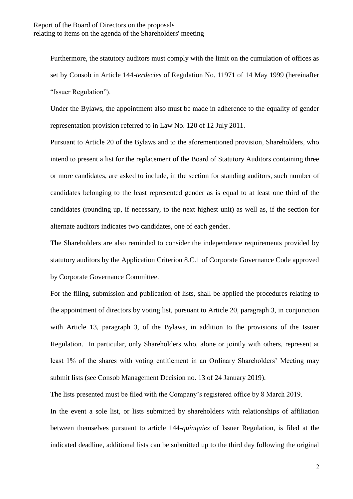Furthermore, the statutory auditors must comply with the limit on the cumulation of offices as set by Consob in Article 144-*terdecies* of Regulation No. 11971 of 14 May 1999 (hereinafter "Issuer Regulation").

Under the Bylaws, the appointment also must be made in adherence to the equality of gender representation provision referred to in Law No. 120 of 12 July 2011.

Pursuant to Article 20 of the Bylaws and to the aforementioned provision, Shareholders, who intend to present a list for the replacement of the Board of Statutory Auditors containing three or more candidates, are asked to include, in the section for standing auditors, such number of candidates belonging to the least represented gender as is equal to at least one third of the candidates (rounding up, if necessary, to the next highest unit) as well as, if the section for alternate auditors indicates two candidates, one of each gender.

The Shareholders are also reminded to consider the independence requirements provided by statutory auditors by the Application Criterion 8.C.1 of Corporate Governance Code approved by Corporate Governance Committee.

For the filing, submission and publication of lists, shall be applied the procedures relating to the appointment of directors by voting list, pursuant to Article 20, paragraph 3, in conjunction with Article 13, paragraph 3, of the Bylaws, in addition to the provisions of the Issuer Regulation. In particular, only Shareholders who, alone or jointly with others, represent at least 1% of the shares with voting entitlement in an Ordinary Shareholders' Meeting may submit lists (see Consob Management Decision no. 13 of 24 January 2019).

The lists presented must be filed with the Company's registered office by 8 March 2019.

In the event a sole list, or lists submitted by shareholders with relationships of affiliation between themselves pursuant to article 144-*quinquies* of Issuer Regulation, is filed at the indicated deadline, additional lists can be submitted up to the third day following the original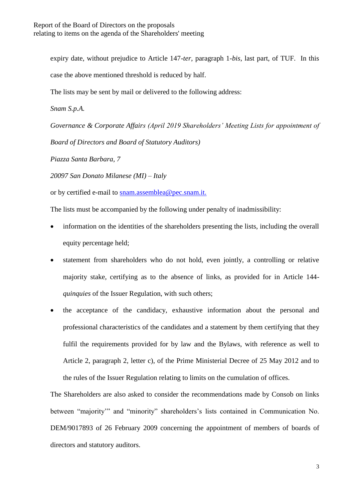expiry date, without prejudice to Article 147-*ter*, paragraph 1-*bis*, last part, of TUF. In this case the above mentioned threshold is reduced by half.

The lists may be sent by mail or delivered to the following address:

*Snam S.p.A.*

*Governance & Corporate Affairs (April 2019 Shareholders' Meeting Lists for appointment of Board of Directors and Board of Statutory Auditors)*

*Piazza Santa Barbara, 7*

*20097 San Donato Milanese (MI) – Italy*

or by certified e-mail to [snam.assemblea@pec.snam.it](mailto:snam.assemblea@pec.snam.it).

The lists must be accompanied by the following under penalty of inadmissibility:

- information on the identities of the shareholders presenting the lists, including the overall equity percentage held;
- statement from shareholders who do not hold, even jointly, a controlling or relative majority stake, certifying as to the absence of links, as provided for in Article 144 *quinquies* of the Issuer Regulation, with such others;
- the acceptance of the candidacy, exhaustive information about the personal and professional characteristics of the candidates and a statement by them certifying that they fulfil the requirements provided for by law and the Bylaws, with reference as well to Article 2, paragraph 2, letter c), of the Prime Ministerial Decree of 25 May 2012 and to the rules of the Issuer Regulation relating to limits on the cumulation of offices.

The Shareholders are also asked to consider the recommendations made by Consob on links between "majority'" and "minority" shareholders's lists contained in Communication No. DEM/9017893 of 26 February 2009 concerning the appointment of members of boards of directors and statutory auditors.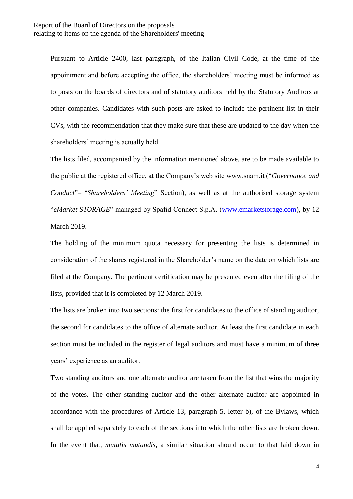Pursuant to Article 2400, last paragraph, of the Italian Civil Code, at the time of the appointment and before accepting the office, the shareholders' meeting must be informed as to posts on the boards of directors and of statutory auditors held by the Statutory Auditors at other companies. Candidates with such posts are asked to include the pertinent list in their CVs, with the recommendation that they make sure that these are updated to the day when the shareholders' meeting is actually held.

The lists filed, accompanied by the information mentioned above, are to be made available to the public at the registered office, at the Company's web site www.snam.it ("*Governance and Conduct*"– "*Shareholders' Meeting*" Section), as well as at the authorised storage system "*eMarket STORAGE*" managed by Spafid Connect S.p.A. [\(www.emarketstorage.com\)](http://www.emarketstorage.com/), by 12 March 2019.

The holding of the minimum quota necessary for presenting the lists is determined in consideration of the shares registered in the Shareholder's name on the date on which lists are filed at the Company. The pertinent certification may be presented even after the filing of the lists, provided that it is completed by 12 March 2019.

The lists are broken into two sections: the first for candidates to the office of standing auditor, the second for candidates to the office of alternate auditor. At least the first candidate in each section must be included in the register of legal auditors and must have a minimum of three years' experience as an auditor.

Two standing auditors and one alternate auditor are taken from the list that wins the majority of the votes. The other standing auditor and the other alternate auditor are appointed in accordance with the procedures of Article 13, paragraph 5, letter b), of the Bylaws, which shall be applied separately to each of the sections into which the other lists are broken down. In the event that, *mutatis mutandis*, a similar situation should occur to that laid down in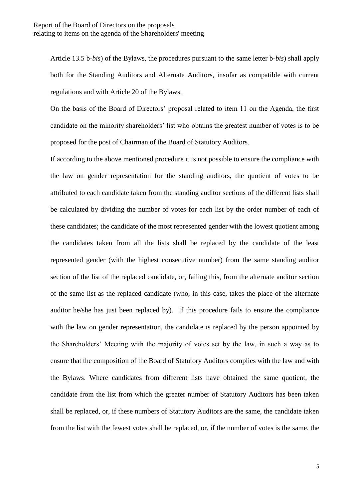Article 13.5 b-*bis*) of the Bylaws, the procedures pursuant to the same letter b-*bis*) shall apply both for the Standing Auditors and Alternate Auditors, insofar as compatible with current regulations and with Article 20 of the Bylaws.

On the basis of the Board of Directors' proposal related to item 11 on the Agenda, the first candidate on the minority shareholders' list who obtains the greatest number of votes is to be proposed for the post of Chairman of the Board of Statutory Auditors.

If according to the above mentioned procedure it is not possible to ensure the compliance with the law on gender representation for the standing auditors, the quotient of votes to be attributed to each candidate taken from the standing auditor sections of the different lists shall be calculated by dividing the number of votes for each list by the order number of each of these candidates; the candidate of the most represented gender with the lowest quotient among the candidates taken from all the lists shall be replaced by the candidate of the least represented gender (with the highest consecutive number) from the same standing auditor section of the list of the replaced candidate, or, failing this, from the alternate auditor section of the same list as the replaced candidate (who, in this case, takes the place of the alternate auditor he/she has just been replaced by). If this procedure fails to ensure the compliance with the law on gender representation, the candidate is replaced by the person appointed by the Shareholders' Meeting with the majority of votes set by the law, in such a way as to ensure that the composition of the Board of Statutory Auditors complies with the law and with the Bylaws. Where candidates from different lists have obtained the same quotient, the candidate from the list from which the greater number of Statutory Auditors has been taken shall be replaced, or, if these numbers of Statutory Auditors are the same, the candidate taken from the list with the fewest votes shall be replaced, or, if the number of votes is the same, the